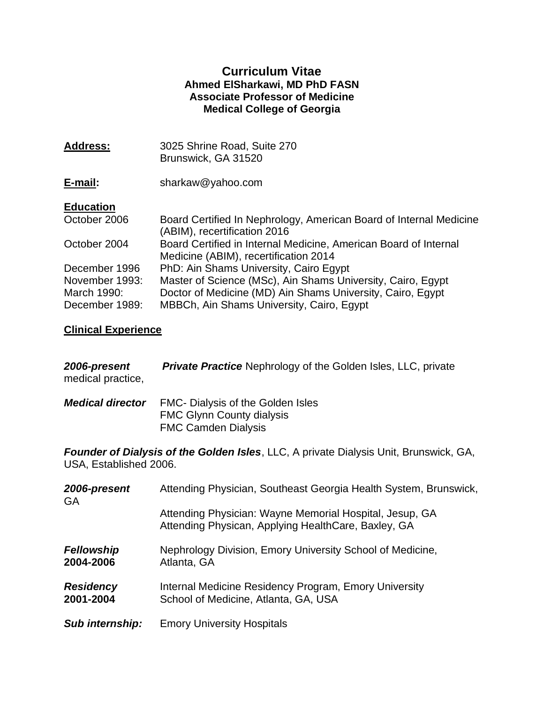### **Curriculum Vitae Ahmed ElSharkawi, MD PhD FASN Associate Professor of Medicine Medical College of Georgia**

| <b>Address:</b>                                 | 3025 Shrine Road, Suite 270<br>Brunswick, GA 31520                                                                                                                     |
|-------------------------------------------------|------------------------------------------------------------------------------------------------------------------------------------------------------------------------|
| E-mail:                                         | sharkaw@yahoo.com                                                                                                                                                      |
| <b>Education</b>                                |                                                                                                                                                                        |
| October 2006                                    | Board Certified In Nephrology, American Board of Internal Medicine<br>(ABIM), recertification 2016                                                                     |
| October 2004                                    | Board Certified in Internal Medicine, American Board of Internal<br>Medicine (ABIM), recertification 2014                                                              |
| December 1996                                   | PhD: Ain Shams University, Cairo Egypt                                                                                                                                 |
| November 1993:<br>March 1990:<br>December 1989: | Master of Science (MSc), Ain Shams University, Cairo, Egypt<br>Doctor of Medicine (MD) Ain Shams University, Cairo, Egypt<br>MBBCh, Ain Shams University, Cairo, Egypt |

# **Clinical Experience**

| 2006-present<br>medical practice,                                                                                      | <b>Private Practice</b> Nephrology of the Golden Isles, LLC, private                                           |  |
|------------------------------------------------------------------------------------------------------------------------|----------------------------------------------------------------------------------------------------------------|--|
| <b>Medical director</b>                                                                                                | FMC- Dialysis of the Golden Isles<br><b>FMC Glynn County dialysis</b><br><b>FMC Camden Dialysis</b>            |  |
| <b>Founder of Dialysis of the Golden Isles, LLC, A private Dialysis Unit, Brunswick, GA,</b><br>USA, Established 2006. |                                                                                                                |  |
| 2006-present<br><b>GA</b>                                                                                              | Attending Physician, Southeast Georgia Health System, Brunswick,                                               |  |
|                                                                                                                        | Attending Physician: Wayne Memorial Hospital, Jesup, GA<br>Attending Physican, Applying HealthCare, Baxley, GA |  |
| <b>Fellowship</b><br>2004-2006                                                                                         | Nephrology Division, Emory University School of Medicine,<br>Atlanta, GA                                       |  |
| <b>Residency</b><br>2001-2004                                                                                          | Internal Medicine Residency Program, Emory University<br>School of Medicine, Atlanta, GA, USA                  |  |
| Sub internship:                                                                                                        | <b>Emory University Hospitals</b>                                                                              |  |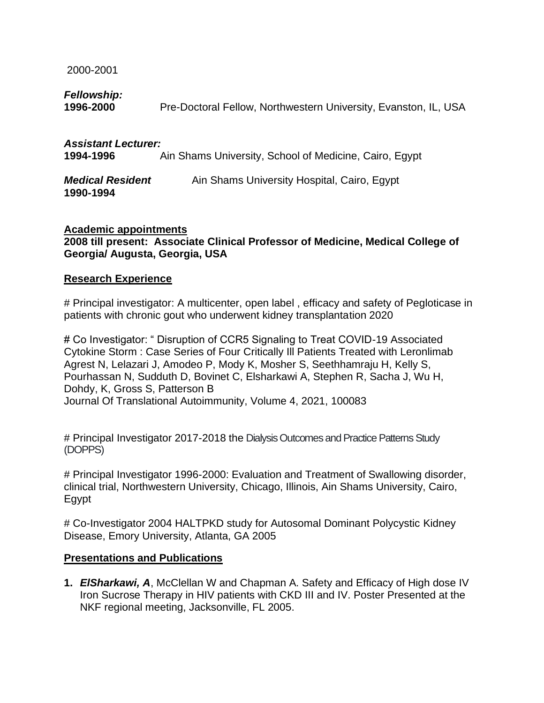2000-2001

## *Fellowship:*

**1990-1994**

**1996-2000** Pre-Doctoral Fellow, Northwestern University, Evanston, IL, USA

| <b>Assistant Lecturer:</b> |                                                        |
|----------------------------|--------------------------------------------------------|
| 1994-1996                  | Ain Shams University, School of Medicine, Cairo, Egypt |
| <b>Medical Resident</b>    | Ain Shams University Hospital, Cairo, Egypt            |

### **Academic appointments 2008 till present: Associate Clinical Professor of Medicine, Medical College of Georgia/ Augusta, Georgia, USA**

### **Research Experience**

# Principal investigator: A multicenter, open label , efficacy and safety of Pegloticase in patients with chronic gout who underwent kidney transplantation 2020

# Co Investigator: " Disruption of CCR5 Signaling to Treat COVID-19 Associated Cytokine Storm : Case Series of Four Critically Ill Patients Treated with Leronlimab Agrest N, Lelazari J, Amodeo P, Mody K, Mosher S, Seethhamraju H, Kelly S, Pourhassan N, Sudduth D, Bovinet C, Elsharkawi A, Stephen R, Sacha J, Wu H, Dohdy, K, Gross S, Patterson B Journal Of Translational Autoimmunity, Volume 4, 2021, 100083

# Principal Investigator 2017-2018 the Dialysis Outcomes and Practice Patterns Study (DOPPS)

# Principal Investigator 1996-2000: Evaluation and Treatment of Swallowing disorder, clinical trial, Northwestern University, Chicago, Illinois, Ain Shams University, Cairo, Egypt

# Co-Investigator 2004 HALTPKD study for Autosomal Dominant Polycystic Kidney Disease, Emory University, Atlanta, GA 2005

### **Presentations and Publications**

**1.** *ElSharkawi, A*, McClellan W and Chapman A. Safety and Efficacy of High dose IV Iron Sucrose Therapy in HIV patients with CKD III and IV. Poster Presented at the NKF regional meeting, Jacksonville, FL 2005.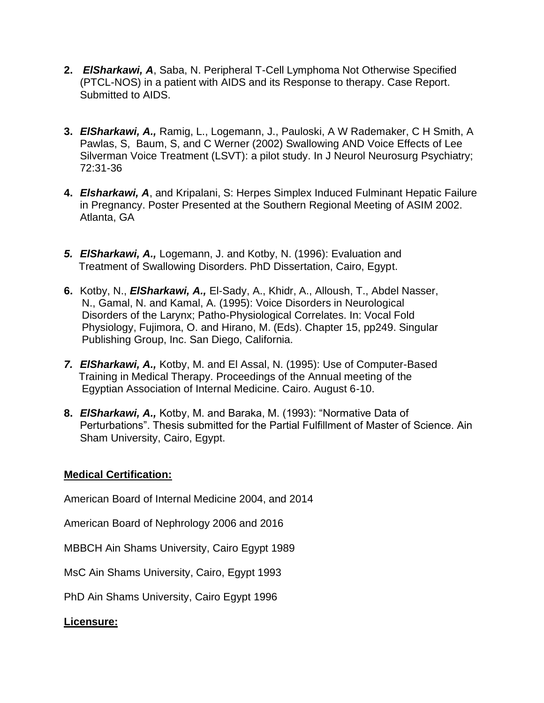- **2.** *ElSharkawi, A*, Saba, N. Peripheral T-Cell Lymphoma Not Otherwise Specified (PTCL-NOS) in a patient with AIDS and its Response to therapy. Case Report. Submitted to AIDS.
- **3.** *ElSharkawi, A.,* Ramig, L., Logemann, J., Pauloski, A W Rademaker, C H Smith, A Pawlas, S, Baum, S, and C Werner (2002) Swallowing AND Voice Effects of Lee Silverman Voice Treatment (LSVT): a pilot study. In J Neurol Neurosurg Psychiatry; 72:31-36
- **4.** *Elsharkawi, A*, and Kripalani, S: Herpes Simplex Induced Fulminant Hepatic Failure in Pregnancy. Poster Presented at the Southern Regional Meeting of ASIM 2002. Atlanta, GA
- *5. ElSharkawi, A.,* Logemann, J. and Kotby, N. (1996): Evaluation and Treatment of Swallowing Disorders. PhD Dissertation, Cairo, Egypt.
- **6.** Kotby, N., *ElSharkawi, A.,* El-Sady, A., Khidr, A., Alloush, T., Abdel Nasser, N., Gamal, N. and Kamal, A. (1995): Voice Disorders in Neurological Disorders of the Larynx; Patho-Physiological Correlates. In: Vocal Fold Physiology, Fujimora, O. and Hirano, M. (Eds). Chapter 15, pp249. Singular Publishing Group, Inc. San Diego, California.
- *7. ElSharkawi, A.,* Kotby, M. and El Assal, N. (1995): Use of Computer-Based Training in Medical Therapy. Proceedings of the Annual meeting of the Egyptian Association of Internal Medicine. Cairo. August 6-10.
- **8.** *ElSharkawi, A.,* Kotby, M. and Baraka, M. (1993): "Normative Data of Perturbations". Thesis submitted for the Partial Fulfillment of Master of Science. Ain Sham University, Cairo, Egypt.

## **Medical Certification:**

American Board of Internal Medicine 2004, and 2014

American Board of Nephrology 2006 and 2016

MBBCH Ain Shams University, Cairo Egypt 1989

MsC Ain Shams University, Cairo, Egypt 1993

PhD Ain Shams University, Cairo Egypt 1996

## **Licensure:**